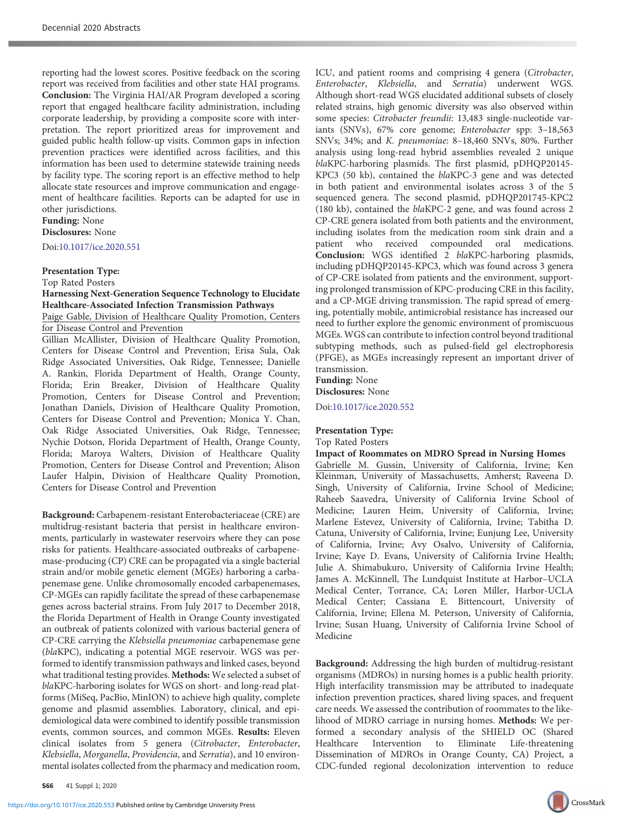reporting had the lowest scores. Positive feedback on the scoring report was received from facilities and other state HAI programs. Conclusion: The Virginia HAI/AR Program developed a scoring report that engaged healthcare facility administration, including corporate leadership, by providing a composite score with interpretation. The report prioritized areas for improvement and guided public health follow-up visits. Common gaps in infection prevention practices were identified across facilities, and this information has been used to determine statewide training needs by facility type. The scoring report is an effective method to help allocate state resources and improve communication and engagement of healthcare facilities. Reports can be adapted for use in other jurisdictions.

### Funding: None Disclosures: None

Doi:[10.1017/ice.2020.551](https://doi.org/10.1017/ice.2020.551)

## Presentation Type:

Top Rated Posters

# Harnessing Next-Generation Sequence Technology to Elucidate Healthcare-Associated Infection Transmission Pathways

Paige Gable, Division of Healthcare Quality Promotion, Centers for Disease Control and Prevention

Gillian McAllister, Division of Healthcare Quality Promotion, Centers for Disease Control and Prevention; Erisa Sula, Oak Ridge Associated Universities, Oak Ridge, Tennessee; Danielle A. Rankin, Florida Department of Health, Orange County, Florida; Erin Breaker, Division of Healthcare Quality Promotion, Centers for Disease Control and Prevention; Jonathan Daniels, Division of Healthcare Quality Promotion, Centers for Disease Control and Prevention; Monica Y. Chan, Oak Ridge Associated Universities, Oak Ridge, Tennessee; Nychie Dotson, Florida Department of Health, Orange County, Florida; Maroya Walters, Division of Healthcare Quality Promotion, Centers for Disease Control and Prevention; Alison Laufer Halpin, Division of Healthcare Quality Promotion, Centers for Disease Control and Prevention

Background: Carbapenem-resistant Enterobacteriaceae (CRE) are multidrug-resistant bacteria that persist in healthcare environments, particularly in wastewater reservoirs where they can pose risks for patients. Healthcare-associated outbreaks of carbapenemase-producing (CP) CRE can be propagated via a single bacterial strain and/or mobile genetic element (MGEs) harboring a carbapenemase gene. Unlike chromosomally encoded carbapenemases, CP-MGEs can rapidly facilitate the spread of these carbapenemase genes across bacterial strains. From July 2017 to December 2018, the Florida Department of Health in Orange County investigated an outbreak of patients colonized with various bacterial genera of CP-CRE carrying the Klebsiella pneumoniae carbapenemase gene (blaKPC), indicating a potential MGE reservoir. WGS was performed to identify transmission pathways and linked cases, beyond what traditional testing provides. Methods: We selected a subset of blaKPC-harboring isolates for WGS on short- and long-read platforms (MiSeq, PacBio, MinION) to achieve high quality, complete genome and plasmid assemblies. Laboratory, clinical, and epidemiological data were combined to identify possible transmission events, common sources, and common MGEs. Results: Eleven clinical isolates from 5 genera (Citrobacter, Enterobacter, Klebsiella, Morganella, Providencia, and Serratia), and 10 environmental isolates collected from the pharmacy and medication room,

S66 41 Suppl 1; 2020

ICU, and patient rooms and comprising 4 genera (Citrobacter, Enterobacter, Klebsiella, and Serratia) underwent WGS. Although short-read WGS elucidated additional subsets of closely related strains, high genomic diversity was also observed within some species: Citrobacter freundii: 13,483 single-nucleotide variants (SNVs), 67% core genome; Enterobacter spp: 3–18,563 SNVs; 34%; and K. pneumoniae: 8–18,460 SNVs, 80%. Further analysis using long-read hybrid assemblies revealed 2 unique blaKPC-harboring plasmids. The first plasmid, pDHQP20145- KPC3 (50 kb), contained the blaKPC-3 gene and was detected in both patient and environmental isolates across 3 of the 5 sequenced genera. The second plasmid, pDHQP201745-KPC2 (180 kb), contained the blaKPC-2 gene, and was found across 2 CP-CRE genera isolated from both patients and the environment, including isolates from the medication room sink drain and a patient who received compounded oral medications. Conclusion: WGS identified 2 blaKPC-harboring plasmids, including pDHQP20145-KPC3, which was found across 3 genera of CP-CRE isolated from patients and the environment, supporting prolonged transmission of KPC-producing CRE in this facility, and a CP-MGE driving transmission. The rapid spread of emerging, potentially mobile, antimicrobial resistance has increased our need to further explore the genomic environment of promiscuous MGEs. WGS can contribute to infection control beyond traditional subtyping methods, such as pulsed-field gel electrophoresis (PFGE), as MGEs increasingly represent an important driver of transmission.

Funding: None Disclosures: None

Doi:[10.1017/ice.2020.552](https://doi.org/10.1017/ice.2020.552)

### Presentation Type:

#### Top Rated Posters

#### Impact of Roommates on MDRO Spread in Nursing Homes

Gabrielle M. Gussin, University of California, Irvine; Ken Kleinman, University of Massachusetts, Amherst; Raveena D. Singh, University of California, Irvine School of Medicine; Raheeb Saavedra, University of California Irvine School of Medicine; Lauren Heim, University of California, Irvine; Marlene Estevez, University of California, Irvine; Tabitha D. Catuna, University of California, Irvine; Eunjung Lee, University of California, Irvine; Avy Osalvo, University of California, Irvine; Kaye D. Evans, University of California Irvine Health; Julie A. Shimabukuro, University of California Irvine Health; James A. McKinnell, The Lundquist Institute at Harbor–UCLA Medical Center, Torrance, CA; Loren Miller, Harbor-UCLA Medical Center; Cassiana E. Bittencourt, University of California, Irvine; Ellena M. Peterson, University of California, Irvine; Susan Huang, University of California Irvine School of Medicine

Background: Addressing the high burden of multidrug-resistant organisms (MDROs) in nursing homes is a public health priority. High interfacility transmission may be attributed to inadequate infection prevention practices, shared living spaces, and frequent care needs. We assessed the contribution of roommates to the likelihood of MDRO carriage in nursing homes. Methods: We performed a secondary analysis of the SHIELD OC (Shared Healthcare Intervention to Eliminate Life-threatening Dissemination of MDROs in Orange County, CA) Project, a CDC-funded regional decolonization intervention to reduce